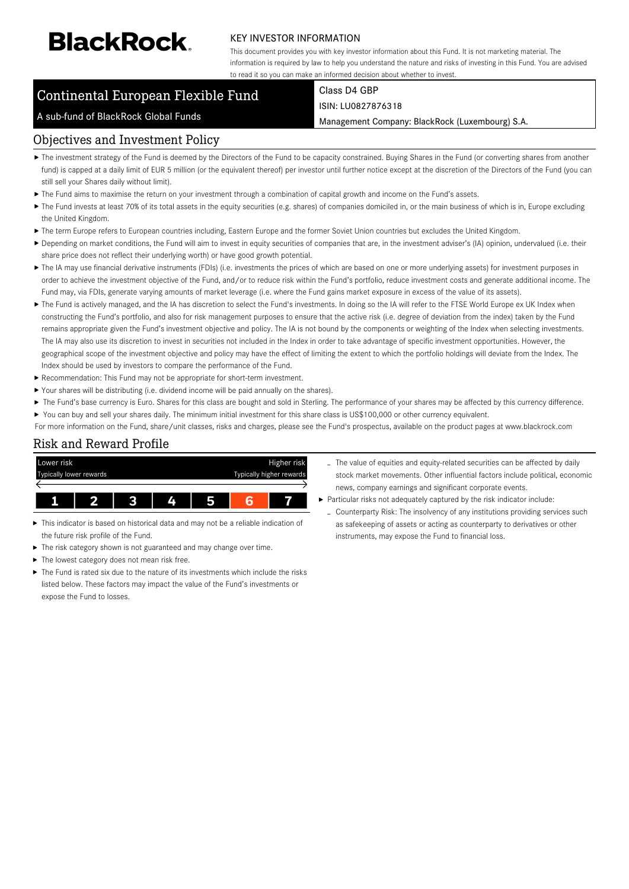# **BlackRock**

#### KEY INVESTOR INFORMATION

This document provides you with key investor information about this Fund. It is not marketing material. The information is required by law to help you understand the nature and risks of investing in this Fund. You are advised to read it so you can make an informed decision about whether to invest.

## Continental European Flexible Fund

# Class D4 GBP

A sub-fund of BlackRock Global Funds

ISIN: LU0827876318

Management Company: BlackRock (Luxembourg) S.A.

#### Objectives and Investment Policy

- ▶ The investment strategy of the Fund is deemed by the Directors of the Fund to be capacity constrained. Buying Shares in the Fund (or converting shares from another fund) is capped at a daily limit of EUR 5 million (or the equivalent thereof) per investor until further notice except at the discretion of the Directors of the Fund (you can still sell your Shares daily without limit).
- The Fund aims to maximise the return on your investment through a combination of capital growth and income on the Fund's assets.
- ▶ The Fund invests at least 70% of its total assets in the equity securities (e.g. shares) of companies domiciled in, or the main business of which is in, Europe excluding the United Kingdom.
- ▶ The term Europe refers to European countries including, Eastern Europe and the former Soviet Union countries but excludes the United Kingdom.
- ▶ Depending on market conditions, the Fund will aim to invest in equity securities of companies that are, in the investment adviser's (IA) opinion, undervalued (i.e. their share price does not reflect their underlying worth) or have good growth potential.
- ▶ The IA may use financial derivative instruments (FDIs) (i.e. investments the prices of which are based on one or more underlying assets) for investment purposes in order to achieve the investment objective of the Fund, and/or to reduce risk within the Fund's portfolio, reduce investment costs and generate additional income. The Fund may, via FDIs, generate varying amounts of market leverage (i.e. where the Fund gains market exposure in excess of the value of its assets).
- ▶ The Fund is actively managed, and the IA has discretion to select the Fund's investments. In doing so the IA will refer to the FTSE World Europe ex UK Index when constructing the Fund's portfolio, and also for risk management purposes to ensure that the active risk (i.e. degree of deviation from the index) taken by the Fund remains appropriate given the Fund's investment objective and policy. The IA is not bound by the components or weighting of the Index when selecting investments. The IA may also use its discretion to invest in securities not included in the Index in order to take advantage of specific investment opportunities. However, the geographical scope of the investment objective and policy may have the effect of limiting the extent to which the portfolio holdings will deviate from the Index. The Index should be used by investors to compare the performance of the Fund.
- Recommendation: This Fund may not be appropriate for short-term investment.
- Your shares will be distributing (i.e. dividend income will be paid annually on the shares).
- The Fund's base currency is Euro. Shares for this class are bought and sold in Sterling. The performance of your shares may be affected by this currency difference.  $\blacktriangleright$ You can buy and sell your shares daily. The minimum initial investment for this share class is US\$100,000 or other currency equivalent.
- For more information on the Fund, share/unit classes, risks and charges, please see the Fund's prospectus, available on the product pages at www.blackrock.com

#### Risk and Reward Profile



- This indicator is based on historical data and may not be a reliable indication of the future risk profile of the Fund.
- ь The risk category shown is not guaranteed and may change over time.
- The lowest category does not mean risk free.
- The Fund is rated six due to the nature of its investments which include the risks listed below. These factors may impact the value of the Fund's investments or expose the Fund to losses.
- The value of equities and equity-related securities can be affected by daily stock market movements. Other influential factors include political, economic news, company earnings and significant corporate events.
- Particular risks not adequately captured by the risk indicator include:
	- Counterparty Risk: The insolvency of any institutions providing services such as safekeeping of assets or acting as counterparty to derivatives or other instruments, may expose the Fund to financial loss.